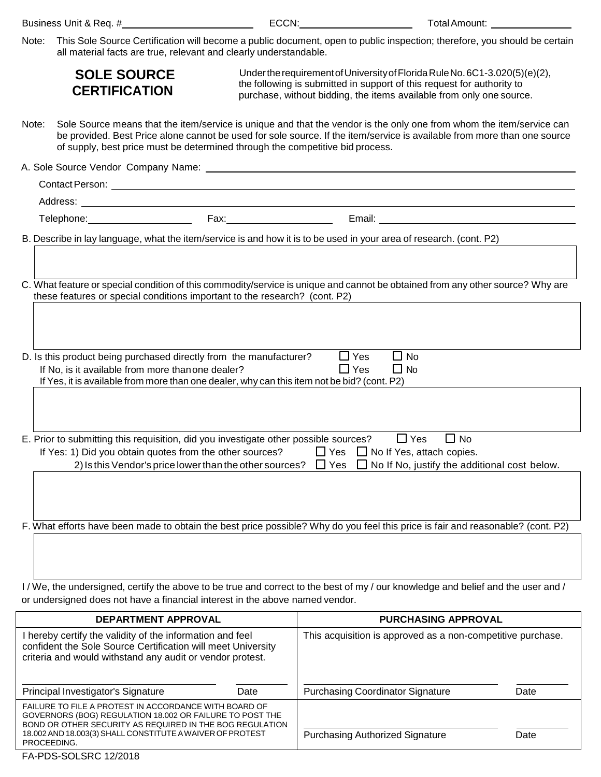| Business Unit & Req. # |  |  |  |
|------------------------|--|--|--|
|------------------------|--|--|--|

ECCN: ECCN: Total Amount: Next Amount: All Amount: All Amount: All Amount: All Amount: All Amount: All Amount: All Amount: All Amount: All Amount: All Amount: All Amount: All Amount: All Amount: All Amount: All Amount: All

Purchasing Authorized Signature Date

Note: This Sole Source Certification will become a public document, open to public inspection; therefore, you should be certain all material facts are true, relevant and clearly understandable.

|                                                                                                                                                                                                                                                                                                                                                         | <b>SOLE SOURCE</b><br><b>CERTIFICATION</b>                                                                                                                                                                                                                                                                                        |                                                             | Under the requirement of University of Florida Rule No. 6C1-3.020(5)(e)(2),<br>the following is submitted in support of this request for authority to<br>purchase, without bidding, the items available from only one source. |      |  |  |  |
|---------------------------------------------------------------------------------------------------------------------------------------------------------------------------------------------------------------------------------------------------------------------------------------------------------------------------------------------------------|-----------------------------------------------------------------------------------------------------------------------------------------------------------------------------------------------------------------------------------------------------------------------------------------------------------------------------------|-------------------------------------------------------------|-------------------------------------------------------------------------------------------------------------------------------------------------------------------------------------------------------------------------------|------|--|--|--|
| Note:                                                                                                                                                                                                                                                                                                                                                   | Sole Source means that the item/service is unique and that the vendor is the only one from whom the item/service can<br>be provided. Best Price alone cannot be used for sole source. If the item/service is available from more than one source<br>of supply, best price must be determined through the competitive bid process. |                                                             |                                                                                                                                                                                                                               |      |  |  |  |
|                                                                                                                                                                                                                                                                                                                                                         |                                                                                                                                                                                                                                                                                                                                   |                                                             |                                                                                                                                                                                                                               |      |  |  |  |
|                                                                                                                                                                                                                                                                                                                                                         |                                                                                                                                                                                                                                                                                                                                   |                                                             |                                                                                                                                                                                                                               |      |  |  |  |
|                                                                                                                                                                                                                                                                                                                                                         |                                                                                                                                                                                                                                                                                                                                   |                                                             |                                                                                                                                                                                                                               |      |  |  |  |
|                                                                                                                                                                                                                                                                                                                                                         |                                                                                                                                                                                                                                                                                                                                   |                                                             |                                                                                                                                                                                                                               |      |  |  |  |
| B. Describe in lay language, what the item/service is and how it is to be used in your area of research. (cont. P2)                                                                                                                                                                                                                                     |                                                                                                                                                                                                                                                                                                                                   |                                                             |                                                                                                                                                                                                                               |      |  |  |  |
|                                                                                                                                                                                                                                                                                                                                                         | these features or special conditions important to the research? (cont. P2)                                                                                                                                                                                                                                                        |                                                             | C. What feature or special condition of this commodity/service is unique and cannot be obtained from any other source? Why are                                                                                                |      |  |  |  |
| $\Box$ Yes<br>$\Box$ No<br>D. Is this product being purchased directly from the manufacturer?<br>$\Box$ Yes<br>$\Box$ No<br>If No, is it available from more than one dealer?<br>If Yes, it is available from more than one dealer, why can this item not be bid? (cont. P2)                                                                            |                                                                                                                                                                                                                                                                                                                                   |                                                             |                                                                                                                                                                                                                               |      |  |  |  |
| E. Prior to submitting this requisition, did you investigate other possible sources?<br>$\Box$ Yes<br>$\Box$ No<br>If Yes: 1) Did you obtain quotes from the other sources? $\Box$ Yes $\Box$ No If Yes, attach copies.<br>2) Is this Vendor's price lower than the other sources? $\square$ Yes $\square$ No If No, justify the additional cost below. |                                                                                                                                                                                                                                                                                                                                   |                                                             |                                                                                                                                                                                                                               |      |  |  |  |
|                                                                                                                                                                                                                                                                                                                                                         |                                                                                                                                                                                                                                                                                                                                   |                                                             |                                                                                                                                                                                                                               |      |  |  |  |
| F. What efforts have been made to obtain the best price possible? Why do you feel this price is fair and reasonable? (cont. P2)                                                                                                                                                                                                                         |                                                                                                                                                                                                                                                                                                                                   |                                                             |                                                                                                                                                                                                                               |      |  |  |  |
|                                                                                                                                                                                                                                                                                                                                                         |                                                                                                                                                                                                                                                                                                                                   |                                                             |                                                                                                                                                                                                                               |      |  |  |  |
| I/We, the undersigned, certify the above to be true and correct to the best of my/our knowledge and belief and the user and/                                                                                                                                                                                                                            |                                                                                                                                                                                                                                                                                                                                   |                                                             |                                                                                                                                                                                                                               |      |  |  |  |
| or undersigned does not have a financial interest in the above named vendor.                                                                                                                                                                                                                                                                            |                                                                                                                                                                                                                                                                                                                                   |                                                             |                                                                                                                                                                                                                               |      |  |  |  |
| <b>DEPARTMENT APPROVAL</b>                                                                                                                                                                                                                                                                                                                              |                                                                                                                                                                                                                                                                                                                                   | <b>PURCHASING APPROVAL</b>                                  |                                                                                                                                                                                                                               |      |  |  |  |
| I hereby certify the validity of the information and feel<br>confident the Sole Source Certification will meet University<br>criteria and would withstand any audit or vendor protest.                                                                                                                                                                  |                                                                                                                                                                                                                                                                                                                                   | This acquisition is approved as a non-competitive purchase. |                                                                                                                                                                                                                               |      |  |  |  |
|                                                                                                                                                                                                                                                                                                                                                         | Principal Investigator's Signature                                                                                                                                                                                                                                                                                                | Date                                                        | <b>Purchasing Coordinator Signature</b>                                                                                                                                                                                       | Date |  |  |  |
|                                                                                                                                                                                                                                                                                                                                                         | FAILURE TO FILE A PROTEST IN ACCORDANCE WITH BOARD OF<br>GOVERNORS (BOG) REGULATION 18.002 OR FAILURE TO POST THE<br>BOND OR OTHER SECURITY AS REQUIRED IN THE BOG REGULATION                                                                                                                                                     |                                                             |                                                                                                                                                                                                                               |      |  |  |  |

FA-PDS-SOLSRC 12/2018

PROCEEDING.

18.002 AND 18.003(3) SHALL CONSTITUTE A WAIVER OF PROTEST